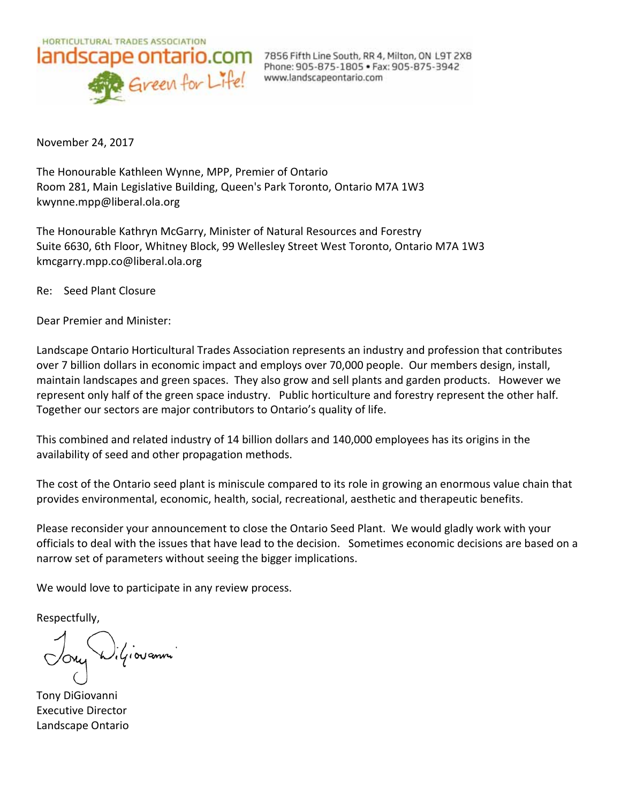

November 24, 2017

The Honourable Kathleen Wynne, MPP, Premier of Ontario Room 281, Main Legislative Building, Queen's Park Toronto, Ontario M7A 1W3 kwynne.mpp@liberal.ola.org

The Honourable Kathryn McGarry, Minister of Natural Resources and Forestry Suite 6630, 6th Floor, Whitney Block, 99 Wellesley Street West Toronto, Ontario M7A 1W3 kmcgarry.mpp.co@liberal.ola.org

Re: Seed Plant Closure

Dear Premier and Minister:

Landscape Ontario Horticultural Trades Association represents an industry and profession that contributes over 7 billion dollars in economic impact and employs over 70,000 people. Our members design, install, maintain landscapes and green spaces. They also grow and sell plants and garden products. However we represent only half of the green space industry. Public horticulture and forestry represent the other half. Together our sectors are major contributors to Ontario's quality of life.

This combined and related industry of 14 billion dollars and 140,000 employees has its origins in the availability of seed and other propagation methods.

The cost of the Ontario seed plant is miniscule compared to its role in growing an enormous value chain that provides environmental, economic, health, social, recreational, aesthetic and therapeutic benefits.

Please reconsider your announcement to close the Ontario Seed Plant. We would gladly work with your officials to deal with the issues that have lead to the decision. Sometimes economic decisions are based on a narrow set of parameters without seeing the bigger implications.

We would love to participate in any review process.

Respectfully,

Ony Wiliarammi

Tony DiGiovanni Executive Director Landscape Ontario